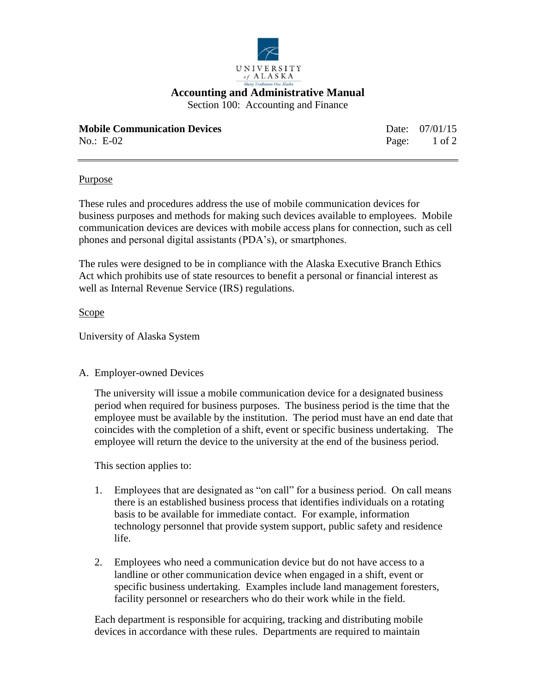

## **Accounting and Administrative Manual**

Section 100: Accounting and Finance

| <b>Mobile Communication Devices</b> | Date: 07/01/15 |
|-------------------------------------|----------------|
| No.: $E-02$                         | Page: 1 of 2   |

#### Purpose

These rules and procedures address the use of mobile communication devices for business purposes and methods for making such devices available to employees. Mobile communication devices are devices with mobile access plans for connection, such as cell phones and personal digital assistants (PDA's), or smartphones.

The rules were designed to be in compliance with the Alaska Executive Branch Ethics Act which prohibits use of state resources to benefit a personal or financial interest as well as Internal Revenue Service (IRS) regulations.

#### Scope

University of Alaska System

### A. Employer-owned Devices

The university will issue a mobile communication device for a designated business period when required for business purposes. The business period is the time that the employee must be available by the institution. The period must have an end date that coincides with the completion of a shift, event or specific business undertaking. The employee will return the device to the university at the end of the business period.

This section applies to:

- 1. Employees that are designated as "on call" for a business period. On call means there is an established business process that identifies individuals on a rotating basis to be available for immediate contact. For example, information technology personnel that provide system support, public safety and residence life.
- 2. Employees who need a communication device but do not have access to a landline or other communication device when engaged in a shift, event or specific business undertaking. Examples include land management foresters, facility personnel or researchers who do their work while in the field.

Each department is responsible for acquiring, tracking and distributing mobile devices in accordance with these rules. Departments are required to maintain